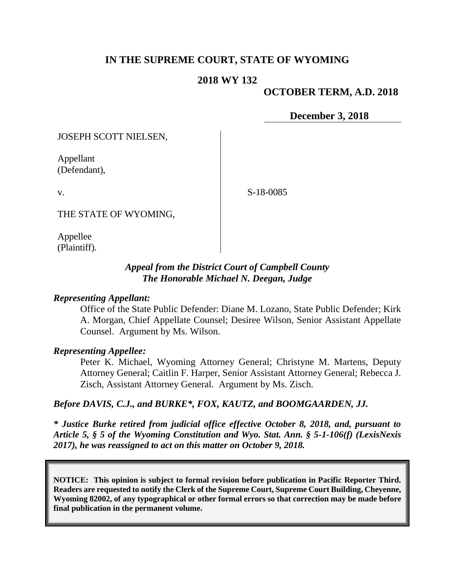# **IN THE SUPREME COURT, STATE OF WYOMING**

#### **2018 WY 132**

#### **OCTOBER TERM, A.D. 2018**

**December 3, 2018**

JOSEPH SCOTT NIELSEN,

Appellant (Defendant),

v.

S-18-0085

THE STATE OF WYOMING,

Appellee (Plaintiff).

### *Appeal from the District Court of Campbell County The Honorable Michael N. Deegan, Judge*

#### *Representing Appellant:*

Office of the State Public Defender: Diane M. Lozano, State Public Defender; Kirk A. Morgan, Chief Appellate Counsel; Desiree Wilson, Senior Assistant Appellate Counsel. Argument by Ms. Wilson.

#### *Representing Appellee:*

Peter K. Michael, Wyoming Attorney General; Christyne M. Martens, Deputy Attorney General; Caitlin F. Harper, Senior Assistant Attorney General; Rebecca J. Zisch, Assistant Attorney General. Argument by Ms. Zisch.

#### *Before DAVIS, C.J., and BURKE\*, FOX, KAUTZ, and BOOMGAARDEN, JJ.*

*\* Justice Burke retired from judicial office effective October 8, 2018, and, pursuant to Article 5, § 5 of the Wyoming Constitution and Wyo. Stat. Ann. § 5-1-106(f) (LexisNexis 2017), he was reassigned to act on this matter on October 9, 2018.*

**NOTICE: This opinion is subject to formal revision before publication in Pacific Reporter Third. Readers are requested to notify the Clerk of the Supreme Court, Supreme Court Building, Cheyenne, Wyoming 82002, of any typographical or other formal errors so that correction may be made before final publication in the permanent volume.**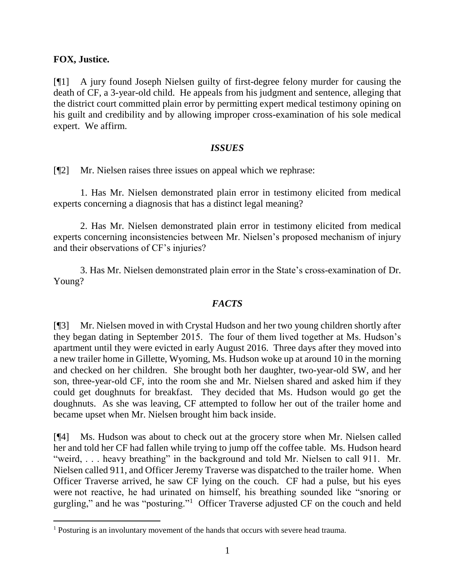### **FOX, Justice.**

[¶1] A jury found Joseph Nielsen guilty of first-degree felony murder for causing the death of CF, a 3-year-old child. He appeals from his judgment and sentence, alleging that the district court committed plain error by permitting expert medical testimony opining on his guilt and credibility and by allowing improper cross-examination of his sole medical expert. We affirm.

#### *ISSUES*

[¶2] Mr. Nielsen raises three issues on appeal which we rephrase:

1. Has Mr. Nielsen demonstrated plain error in testimony elicited from medical experts concerning a diagnosis that has a distinct legal meaning?

2. Has Mr. Nielsen demonstrated plain error in testimony elicited from medical experts concerning inconsistencies between Mr. Nielsen's proposed mechanism of injury and their observations of CF's injuries?

3. Has Mr. Nielsen demonstrated plain error in the State's cross-examination of Dr. Young?

### *FACTS*

[¶3] Mr. Nielsen moved in with Crystal Hudson and her two young children shortly after they began dating in September 2015. The four of them lived together at Ms. Hudson's apartment until they were evicted in early August 2016. Three days after they moved into a new trailer home in Gillette, Wyoming, Ms. Hudson woke up at around 10 in the morning and checked on her children. She brought both her daughter, two-year-old SW, and her son, three-year-old CF, into the room she and Mr. Nielsen shared and asked him if they could get doughnuts for breakfast. They decided that Ms. Hudson would go get the doughnuts. As she was leaving, CF attempted to follow her out of the trailer home and became upset when Mr. Nielsen brought him back inside.

[¶4] Ms. Hudson was about to check out at the grocery store when Mr. Nielsen called her and told her CF had fallen while trying to jump off the coffee table. Ms. Hudson heard "weird, . . . heavy breathing" in the background and told Mr. Nielsen to call 911. Mr. Nielsen called 911, and Officer Jeremy Traverse was dispatched to the trailer home. When Officer Traverse arrived, he saw CF lying on the couch. CF had a pulse, but his eyes were not reactive, he had urinated on himself, his breathing sounded like "snoring or gurgling," and he was "posturing."<sup>1</sup> Officer Traverse adjusted CF on the couch and held

<sup>&</sup>lt;sup>1</sup> Posturing is an involuntary movement of the hands that occurs with severe head trauma.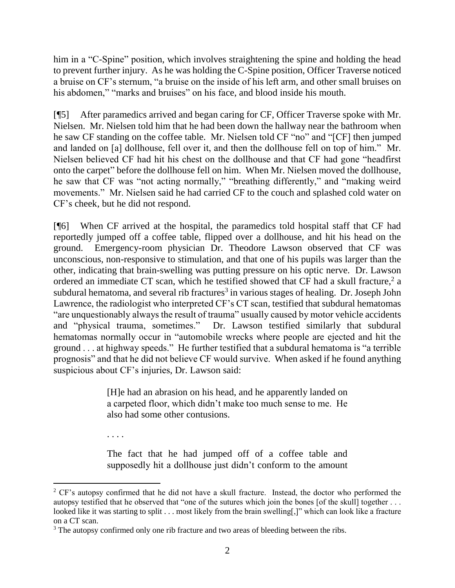him in a "C-Spine" position, which involves straightening the spine and holding the head to prevent further injury. As he was holding the C-Spine position, Officer Traverse noticed a bruise on CF's sternum, "a bruise on the inside of his left arm, and other small bruises on his abdomen," "marks and bruises" on his face, and blood inside his mouth.

[¶5] After paramedics arrived and began caring for CF, Officer Traverse spoke with Mr. Nielsen. Mr. Nielsen told him that he had been down the hallway near the bathroom when he saw CF standing on the coffee table. Mr. Nielsen told CF "no" and "[CF] then jumped and landed on [a] dollhouse, fell over it, and then the dollhouse fell on top of him." Mr. Nielsen believed CF had hit his chest on the dollhouse and that CF had gone "headfirst onto the carpet" before the dollhouse fell on him. When Mr. Nielsen moved the dollhouse, he saw that CF was "not acting normally," "breathing differently," and "making weird movements." Mr. Nielsen said he had carried CF to the couch and splashed cold water on CF's cheek, but he did not respond.

[¶6] When CF arrived at the hospital, the paramedics told hospital staff that CF had reportedly jumped off a coffee table, flipped over a dollhouse, and hit his head on the ground. Emergency-room physician Dr. Theodore Lawson observed that CF was unconscious, non-responsive to stimulation, and that one of his pupils was larger than the other, indicating that brain-swelling was putting pressure on his optic nerve. Dr. Lawson ordered an immediate CT scan, which he testified showed that CF had a skull fracture, 2 a subdural hematoma, and several rib fractures<sup>3</sup> in various stages of healing. Dr. Joseph John Lawrence, the radiologist who interpreted CF's CT scan, testified that subdural hematomas "are unquestionably always the result of trauma" usually caused by motor vehicle accidents and "physical trauma, sometimes." Dr. Lawson testified similarly that subdural hematomas normally occur in "automobile wrecks where people are ejected and hit the ground . . . at highway speeds." He further testified that a subdural hematoma is "a terrible prognosis" and that he did not believe CF would survive. When asked if he found anything suspicious about CF's injuries, Dr. Lawson said:

> [H]e had an abrasion on his head, and he apparently landed on a carpeted floor, which didn't make too much sense to me. He also had some other contusions.

. . . .

The fact that he had jumped off of a coffee table and supposedly hit a dollhouse just didn't conform to the amount

<sup>&</sup>lt;sup>2</sup> CF's autopsy confirmed that he did not have a skull fracture. Instead, the doctor who performed the autopsy testified that he observed that "one of the sutures which join the bones [of the skull] together . . . looked like it was starting to split . . . most likely from the brain swelling[,]" which can look like a fracture on a CT scan.

<sup>&</sup>lt;sup>3</sup> The autopsy confirmed only one rib fracture and two areas of bleeding between the ribs.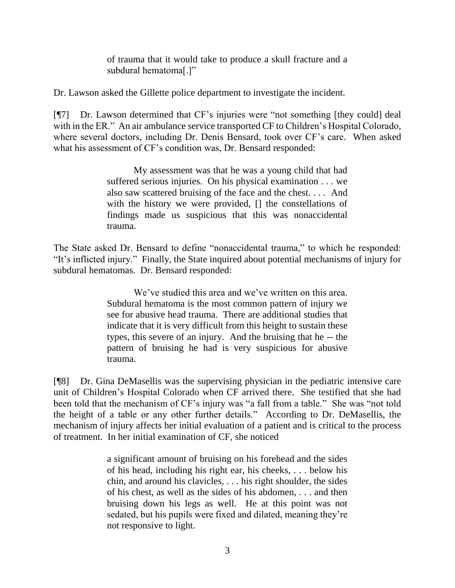of trauma that it would take to produce a skull fracture and a subdural hematoma[.]"

Dr. Lawson asked the Gillette police department to investigate the incident.

[¶7] Dr. Lawson determined that CF's injuries were "not something [they could] deal with in the ER." An air ambulance service transported CF to Children's Hospital Colorado, where several doctors, including Dr. Denis Bensard, took over CF's care. When asked what his assessment of CF's condition was, Dr. Bensard responded:

> My assessment was that he was a young child that had suffered serious injuries. On his physical examination . . . we also saw scattered bruising of the face and the chest. . . . And with the history we were provided, [] the constellations of findings made us suspicious that this was nonaccidental trauma.

The State asked Dr. Bensard to define "nonaccidental trauma," to which he responded: "It's inflicted injury." Finally, the State inquired about potential mechanisms of injury for subdural hematomas. Dr. Bensard responded:

> We've studied this area and we've written on this area. Subdural hematoma is the most common pattern of injury we see for abusive head trauma. There are additional studies that indicate that it is very difficult from this height to sustain these types, this severe of an injury. And the bruising that he -- the pattern of bruising he had is very suspicious for abusive trauma.

[¶8] Dr. Gina DeMasellis was the supervising physician in the pediatric intensive care unit of Children's Hospital Colorado when CF arrived there. She testified that she had been told that the mechanism of CF's injury was "a fall from a table." She was "not told the height of a table or any other further details." According to Dr. DeMasellis, the mechanism of injury affects her initial evaluation of a patient and is critical to the process of treatment. In her initial examination of CF, she noticed

> a significant amount of bruising on his forehead and the sides of his head, including his right ear, his cheeks, . . . below his chin, and around his clavicles, . . . his right shoulder, the sides of his chest, as well as the sides of his abdomen, . . . and then bruising down his legs as well. He at this point was not sedated, but his pupils were fixed and dilated, meaning they're not responsive to light.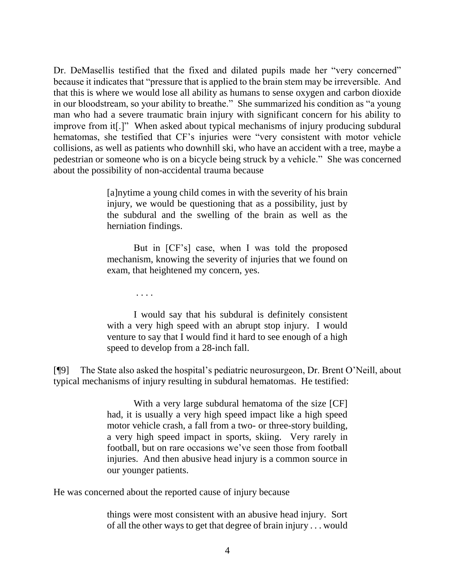Dr. DeMasellis testified that the fixed and dilated pupils made her "very concerned" because it indicates that "pressure that is applied to the brain stem may be irreversible. And that this is where we would lose all ability as humans to sense oxygen and carbon dioxide in our bloodstream, so your ability to breathe." She summarized his condition as "a young man who had a severe traumatic brain injury with significant concern for his ability to improve from it[.]" When asked about typical mechanisms of injury producing subdural hematomas, she testified that CF's injuries were "very consistent with motor vehicle collisions, as well as patients who downhill ski, who have an accident with a tree, maybe a pedestrian or someone who is on a bicycle being struck by a vehicle." She was concerned about the possibility of non-accidental trauma because

> [a]nytime a young child comes in with the severity of his brain injury, we would be questioning that as a possibility, just by the subdural and the swelling of the brain as well as the herniation findings.

> But in [CF's] case, when I was told the proposed mechanism, knowing the severity of injuries that we found on exam, that heightened my concern, yes.

> > . . . .

I would say that his subdural is definitely consistent with a very high speed with an abrupt stop injury. I would venture to say that I would find it hard to see enough of a high speed to develop from a 28-inch fall.

[¶9] The State also asked the hospital's pediatric neurosurgeon, Dr. Brent O'Neill, about typical mechanisms of injury resulting in subdural hematomas. He testified:

> With a very large subdural hematoma of the size [CF] had, it is usually a very high speed impact like a high speed motor vehicle crash, a fall from a two- or three-story building, a very high speed impact in sports, skiing. Very rarely in football, but on rare occasions we've seen those from football injuries. And then abusive head injury is a common source in our younger patients.

He was concerned about the reported cause of injury because

things were most consistent with an abusive head injury. Sort of all the other ways to get that degree of brain injury . . . would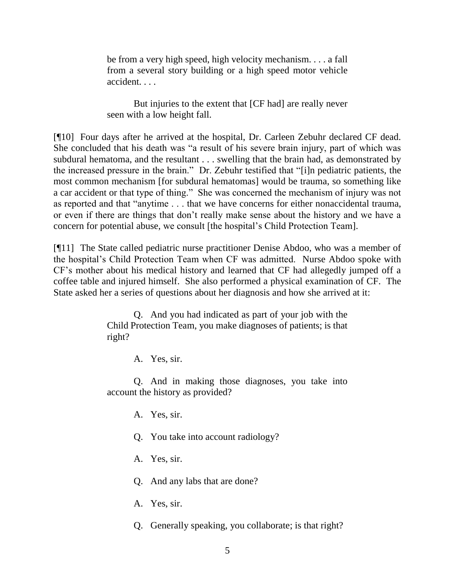be from a very high speed, high velocity mechanism. . . . a fall from a several story building or a high speed motor vehicle accident. . . .

But injuries to the extent that [CF had] are really never seen with a low height fall.

[¶10] Four days after he arrived at the hospital, Dr. Carleen Zebuhr declared CF dead. She concluded that his death was "a result of his severe brain injury, part of which was subdural hematoma, and the resultant . . . swelling that the brain had, as demonstrated by the increased pressure in the brain." Dr. Zebuhr testified that "[i]n pediatric patients, the most common mechanism [for subdural hematomas] would be trauma, so something like a car accident or that type of thing." She was concerned the mechanism of injury was not as reported and that "anytime . . . that we have concerns for either nonaccidental trauma, or even if there are things that don't really make sense about the history and we have a concern for potential abuse, we consult [the hospital's Child Protection Team].

[¶11] The State called pediatric nurse practitioner Denise Abdoo, who was a member of the hospital's Child Protection Team when CF was admitted. Nurse Abdoo spoke with CF's mother about his medical history and learned that CF had allegedly jumped off a coffee table and injured himself. She also performed a physical examination of CF. The State asked her a series of questions about her diagnosis and how she arrived at it:

> Q. And you had indicated as part of your job with the Child Protection Team, you make diagnoses of patients; is that right?

> > A. Yes, sir.

Q. And in making those diagnoses, you take into account the history as provided?

A. Yes, sir.

Q. You take into account radiology?

A. Yes, sir.

Q. And any labs that are done?

A. Yes, sir.

Q. Generally speaking, you collaborate; is that right?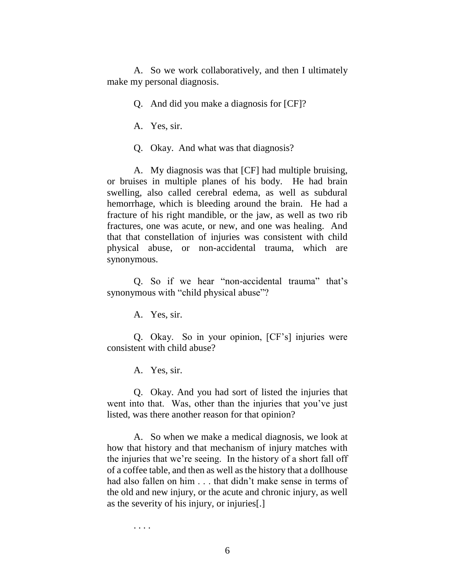A. So we work collaboratively, and then I ultimately make my personal diagnosis.

Q. And did you make a diagnosis for [CF]?

A. Yes, sir.

Q. Okay. And what was that diagnosis?

A. My diagnosis was that [CF] had multiple bruising, or bruises in multiple planes of his body. He had brain swelling, also called cerebral edema, as well as subdural hemorrhage, which is bleeding around the brain. He had a fracture of his right mandible, or the jaw, as well as two rib fractures, one was acute, or new, and one was healing. And that that constellation of injuries was consistent with child physical abuse, or non-accidental trauma, which are synonymous.

Q. So if we hear "non-accidental trauma" that's synonymous with "child physical abuse"?

A. Yes, sir.

Q. Okay. So in your opinion, [CF's] injuries were consistent with child abuse?

A. Yes, sir.

Q. Okay. And you had sort of listed the injuries that went into that. Was, other than the injuries that you've just listed, was there another reason for that opinion?

A. So when we make a medical diagnosis, we look at how that history and that mechanism of injury matches with the injuries that we're seeing. In the history of a short fall off of a coffee table, and then as well as the history that a dollhouse had also fallen on him . . . that didn't make sense in terms of the old and new injury, or the acute and chronic injury, as well as the severity of his injury, or injuries[.]

. . . .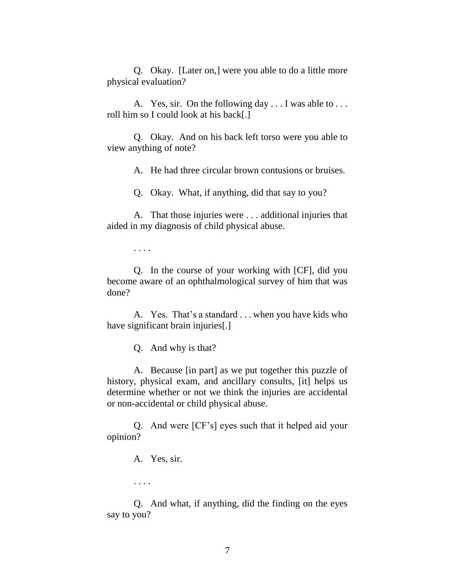Q. Okay. [Later on,] were you able to do a little more physical evaluation?

A. Yes, sir. On the following day . . . I was able to . . . roll him so I could look at his back[.]

Q. Okay. And on his back left torso were you able to view anything of note?

A. He had three circular brown contusions or bruises.

Q. Okay. What, if anything, did that say to you?

A. That those injuries were . . . additional injuries that aided in my diagnosis of child physical abuse.

. . . .

Q. In the course of your working with [CF], did you become aware of an ophthalmological survey of him that was done?

A. Yes. That's a standard . . . when you have kids who have significant brain injuries[.]

Q. And why is that?

A. Because [in part] as we put together this puzzle of history, physical exam, and ancillary consults, [it] helps us determine whether or not we think the injuries are accidental or non-accidental or child physical abuse.

Q. And were [CF's] eyes such that it helped aid your opinion?

A. Yes, sir.

. . . .

Q. And what, if anything, did the finding on the eyes say to you?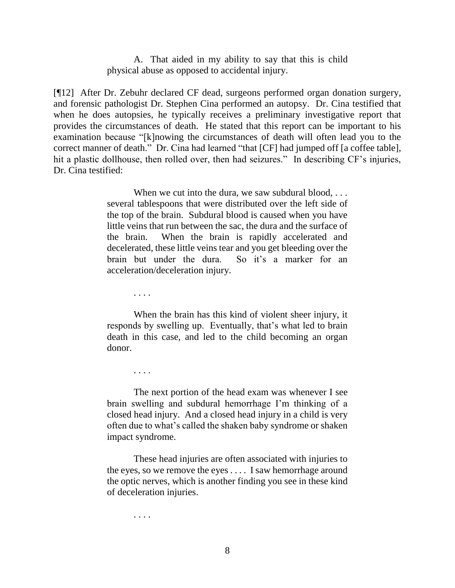A. That aided in my ability to say that this is child physical abuse as opposed to accidental injury.

[¶12] After Dr. Zebuhr declared CF dead, surgeons performed organ donation surgery, and forensic pathologist Dr. Stephen Cina performed an autopsy. Dr. Cina testified that when he does autopsies, he typically receives a preliminary investigative report that provides the circumstances of death. He stated that this report can be important to his examination because "[k]nowing the circumstances of death will often lead you to the correct manner of death." Dr. Cina had learned "that [CF] had jumped off [a coffee table], hit a plastic dollhouse, then rolled over, then had seizures." In describing CF's injuries, Dr. Cina testified:

> When we cut into the dura, we saw subdural blood, ... several tablespoons that were distributed over the left side of the top of the brain. Subdural blood is caused when you have little veins that run between the sac, the dura and the surface of the brain. When the brain is rapidly accelerated and decelerated, these little veins tear and you get bleeding over the brain but under the dura. So it's a marker for an acceleration/deceleration injury.

> > . . . .

. . . .

When the brain has this kind of violent sheer injury, it responds by swelling up. Eventually, that's what led to brain death in this case, and led to the child becoming an organ donor.

The next portion of the head exam was whenever I see brain swelling and subdural hemorrhage I'm thinking of a closed head injury. And a closed head injury in a child is very often due to what's called the shaken baby syndrome or shaken impact syndrome.

These head injuries are often associated with injuries to the eyes, so we remove the eyes . . . . I saw hemorrhage around the optic nerves, which is another finding you see in these kind of deceleration injuries.

. . . .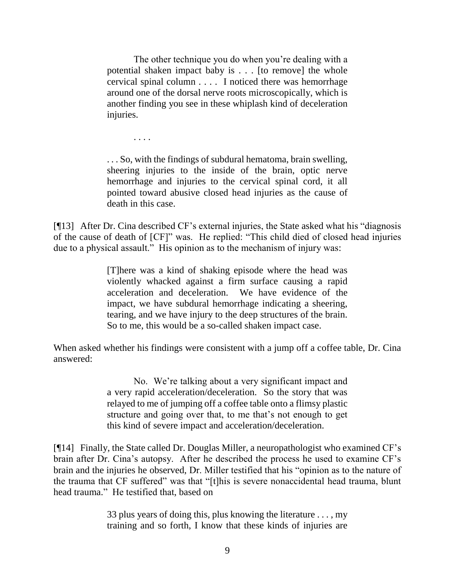The other technique you do when you're dealing with a potential shaken impact baby is . . . [to remove] the whole cervical spinal column . . . . I noticed there was hemorrhage around one of the dorsal nerve roots microscopically, which is another finding you see in these whiplash kind of deceleration injuries.

. . . So, with the findings of subdural hematoma, brain swelling, sheering injuries to the inside of the brain, optic nerve hemorrhage and injuries to the cervical spinal cord, it all pointed toward abusive closed head injuries as the cause of death in this case.

. . . .

[¶13] After Dr. Cina described CF's external injuries, the State asked what his "diagnosis of the cause of death of [CF]" was. He replied: "This child died of closed head injuries due to a physical assault." His opinion as to the mechanism of injury was:

> [T]here was a kind of shaking episode where the head was violently whacked against a firm surface causing a rapid acceleration and deceleration. We have evidence of the impact, we have subdural hemorrhage indicating a sheering, tearing, and we have injury to the deep structures of the brain. So to me, this would be a so-called shaken impact case.

When asked whether his findings were consistent with a jump off a coffee table, Dr. Cina answered:

> No. We're talking about a very significant impact and a very rapid acceleration/deceleration. So the story that was relayed to me of jumping off a coffee table onto a flimsy plastic structure and going over that, to me that's not enough to get this kind of severe impact and acceleration/deceleration.

[¶14] Finally, the State called Dr. Douglas Miller, a neuropathologist who examined CF's brain after Dr. Cina's autopsy. After he described the process he used to examine CF's brain and the injuries he observed, Dr. Miller testified that his "opinion as to the nature of the trauma that CF suffered" was that "[t]his is severe nonaccidental head trauma, blunt head trauma." He testified that, based on

> 33 plus years of doing this, plus knowing the literature . . . , my training and so forth, I know that these kinds of injuries are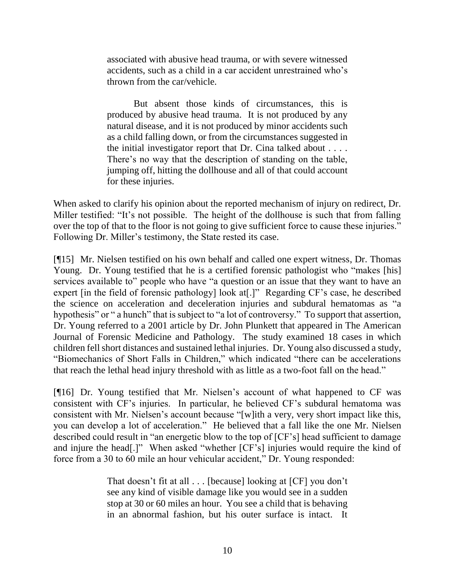associated with abusive head trauma, or with severe witnessed accidents, such as a child in a car accident unrestrained who's thrown from the car/vehicle.

But absent those kinds of circumstances, this is produced by abusive head trauma. It is not produced by any natural disease, and it is not produced by minor accidents such as a child falling down, or from the circumstances suggested in the initial investigator report that Dr. Cina talked about . . . . There's no way that the description of standing on the table, jumping off, hitting the dollhouse and all of that could account for these injuries.

When asked to clarify his opinion about the reported mechanism of injury on redirect, Dr. Miller testified: "It's not possible. The height of the dollhouse is such that from falling over the top of that to the floor is not going to give sufficient force to cause these injuries." Following Dr. Miller's testimony, the State rested its case.

[¶15] Mr. Nielsen testified on his own behalf and called one expert witness, Dr. Thomas Young. Dr. Young testified that he is a certified forensic pathologist who "makes [his] services available to" people who have "a question or an issue that they want to have an expert [in the field of forensic pathology] look at[.]" Regarding CF's case, he described the science on acceleration and deceleration injuries and subdural hematomas as "a hypothesis" or " a hunch" that is subject to "a lot of controversy." To support that assertion, Dr. Young referred to a 2001 article by Dr. John Plunkett that appeared in The American Journal of Forensic Medicine and Pathology. The study examined 18 cases in which children fell short distances and sustained lethal injuries. Dr. Young also discussed a study, "Biomechanics of Short Falls in Children," which indicated "there can be accelerations that reach the lethal head injury threshold with as little as a two-foot fall on the head."

[¶16] Dr. Young testified that Mr. Nielsen's account of what happened to CF was consistent with CF's injuries. In particular, he believed CF's subdural hematoma was consistent with Mr. Nielsen's account because "[w]ith a very, very short impact like this, you can develop a lot of acceleration." He believed that a fall like the one Mr. Nielsen described could result in "an energetic blow to the top of [CF's] head sufficient to damage and injure the head[.]" When asked "whether [CF's] injuries would require the kind of force from a 30 to 60 mile an hour vehicular accident," Dr. Young responded:

> That doesn't fit at all . . . [because] looking at [CF] you don't see any kind of visible damage like you would see in a sudden stop at 30 or 60 miles an hour. You see a child that is behaving in an abnormal fashion, but his outer surface is intact. It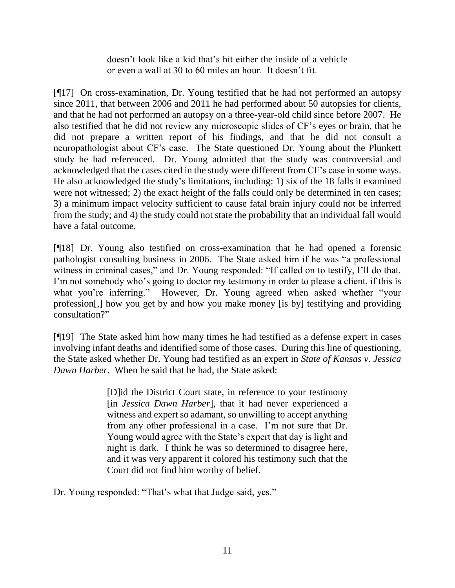doesn't look like a kid that's hit either the inside of a vehicle or even a wall at 30 to 60 miles an hour. It doesn't fit.

[¶17] On cross-examination, Dr. Young testified that he had not performed an autopsy since 2011, that between 2006 and 2011 he had performed about 50 autopsies for clients, and that he had not performed an autopsy on a three-year-old child since before 2007. He also testified that he did not review any microscopic slides of CF's eyes or brain, that he did not prepare a written report of his findings, and that he did not consult a neuropathologist about CF's case. The State questioned Dr. Young about the Plunkett study he had referenced. Dr. Young admitted that the study was controversial and acknowledged that the cases cited in the study were different from CF's case in some ways. He also acknowledged the study's limitations, including: 1) six of the 18 falls it examined were not witnessed; 2) the exact height of the falls could only be determined in ten cases; 3) a minimum impact velocity sufficient to cause fatal brain injury could not be inferred from the study; and 4) the study could not state the probability that an individual fall would have a fatal outcome.

[¶18] Dr. Young also testified on cross-examination that he had opened a forensic pathologist consulting business in 2006. The State asked him if he was "a professional witness in criminal cases," and Dr. Young responded: "If called on to testify, I'll do that. I'm not somebody who's going to doctor my testimony in order to please a client, if this is what you're inferring." However, Dr. Young agreed when asked whether "your profession[,] how you get by and how you make money [is by] testifying and providing consultation?"

[¶19] The State asked him how many times he had testified as a defense expert in cases involving infant deaths and identified some of those cases. During this line of questioning, the State asked whether Dr. Young had testified as an expert in *State of Kansas v. Jessica Dawn Harber*. When he said that he had, the State asked:

> [D]id the District Court state, in reference to your testimony [in *Jessica Dawn Harber*], that it had never experienced a witness and expert so adamant, so unwilling to accept anything from any other professional in a case. I'm not sure that Dr. Young would agree with the State's expert that day is light and night is dark. I think he was so determined to disagree here, and it was very apparent it colored his testimony such that the Court did not find him worthy of belief.

Dr. Young responded: "That's what that Judge said, yes."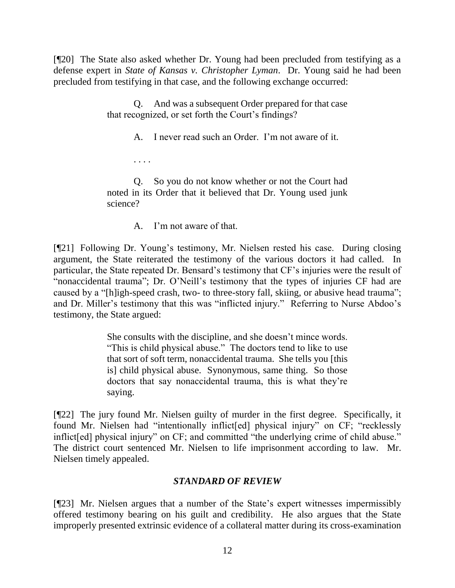[¶20] The State also asked whether Dr. Young had been precluded from testifying as a defense expert in *State of Kansas v. Christopher Lyman*. Dr. Young said he had been precluded from testifying in that case, and the following exchange occurred:

> Q. And was a subsequent Order prepared for that case that recognized, or set forth the Court's findings?

> > A. I never read such an Order. I'm not aware of it.

. . . .

Q. So you do not know whether or not the Court had noted in its Order that it believed that Dr. Young used junk science?

A. I'm not aware of that.

[¶21] Following Dr. Young's testimony, Mr. Nielsen rested his case. During closing argument, the State reiterated the testimony of the various doctors it had called. In particular, the State repeated Dr. Bensard's testimony that CF's injuries were the result of "nonaccidental trauma"; Dr. O'Neill's testimony that the types of injuries CF had are caused by a "[h]igh-speed crash, two- to three-story fall, skiing, or abusive head trauma"; and Dr. Miller's testimony that this was "inflicted injury." Referring to Nurse Abdoo's testimony, the State argued:

> She consults with the discipline, and she doesn't mince words. "This is child physical abuse." The doctors tend to like to use that sort of soft term, nonaccidental trauma. She tells you [this is] child physical abuse. Synonymous, same thing. So those doctors that say nonaccidental trauma, this is what they're saying.

[¶22] The jury found Mr. Nielsen guilty of murder in the first degree. Specifically, it found Mr. Nielsen had "intentionally inflict[ed] physical injury" on CF; "recklessly inflict[ed] physical injury" on CF; and committed "the underlying crime of child abuse." The district court sentenced Mr. Nielsen to life imprisonment according to law. Mr. Nielsen timely appealed.

# *STANDARD OF REVIEW*

[¶23] Mr. Nielsen argues that a number of the State's expert witnesses impermissibly offered testimony bearing on his guilt and credibility. He also argues that the State improperly presented extrinsic evidence of a collateral matter during its cross-examination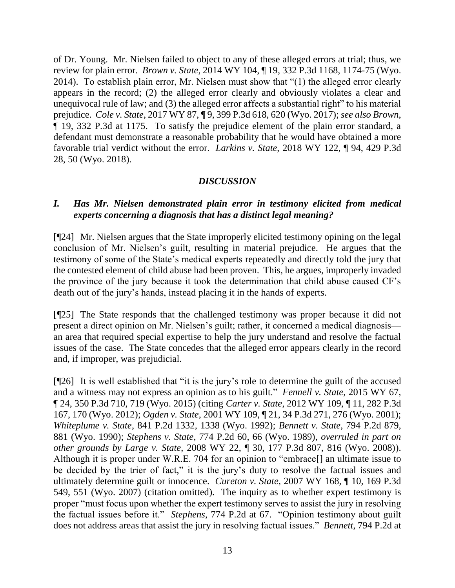of Dr. Young. Mr. Nielsen failed to object to any of these alleged errors at trial; thus, we review for plain error. *Brown v. State*, 2014 WY 104, ¶ 19, 332 P.3d 1168, 1174-75 (Wyo. 2014). To establish plain error, Mr. Nielsen must show that "(1) the alleged error clearly appears in the record; (2) the alleged error clearly and obviously violates a clear and unequivocal rule of law; and (3) the alleged error affects a substantial right" to his material prejudice. *Cole v. State*, 2017 WY 87, ¶ 9, 399 P.3d 618, 620 (Wyo. 2017); *see also Brown*, ¶ 19, 332 P.3d at 1175. To satisfy the prejudice element of the plain error standard, a defendant must demonstrate a reasonable probability that he would have obtained a more favorable trial verdict without the error. *Larkins v. State*, 2018 WY 122, ¶ 94, 429 P.3d 28, 50 (Wyo. 2018).

### *DISCUSSION*

## *I. Has Mr. Nielsen demonstrated plain error in testimony elicited from medical experts concerning a diagnosis that has a distinct legal meaning?*

[¶24] Mr. Nielsen argues that the State improperly elicited testimony opining on the legal conclusion of Mr. Nielsen's guilt, resulting in material prejudice. He argues that the testimony of some of the State's medical experts repeatedly and directly told the jury that the contested element of child abuse had been proven. This, he argues, improperly invaded the province of the jury because it took the determination that child abuse caused CF's death out of the jury's hands, instead placing it in the hands of experts.

[¶25] The State responds that the challenged testimony was proper because it did not present a direct opinion on Mr. Nielsen's guilt; rather, it concerned a medical diagnosis an area that required special expertise to help the jury understand and resolve the factual issues of the case. The State concedes that the alleged error appears clearly in the record and, if improper, was prejudicial.

[¶26] It is well established that "it is the jury's role to determine the guilt of the accused and a witness may not express an opinion as to his guilt." *Fennell v. State*, 2015 WY 67, ¶ 24, 350 P.3d 710, 719 (Wyo. 2015) (citing *Carter v. State*, 2012 WY 109, ¶ 11, 282 P.3d 167, 170 (Wyo. 2012); *Ogden v. State*, 2001 WY 109, ¶ 21, 34 P.3d 271, 276 (Wyo. 2001); *Whiteplume v. State*, 841 P.2d 1332, 1338 (Wyo. 1992); *Bennett v. State*, 794 P.2d 879, 881 (Wyo. 1990); *Stephens v. State*, 774 P.2d 60, 66 (Wyo. 1989), *overruled in part on other grounds by Large v. State*, 2008 WY 22, ¶ 30, 177 P.3d 807, 816 (Wyo. 2008)). Although it is proper under W.R.E. 704 for an opinion to "embrace[] an ultimate issue to be decided by the trier of fact," it is the jury's duty to resolve the factual issues and ultimately determine guilt or innocence. *Cureton v. State*, 2007 WY 168, ¶ 10, 169 P.3d 549, 551 (Wyo. 2007) (citation omitted). The inquiry as to whether expert testimony is proper "must focus upon whether the expert testimony serves to assist the jury in resolving the factual issues before it." *Stephens*, 774 P.2d at 67. "Opinion testimony about guilt does not address areas that assist the jury in resolving factual issues." *Bennett*, 794 P.2d at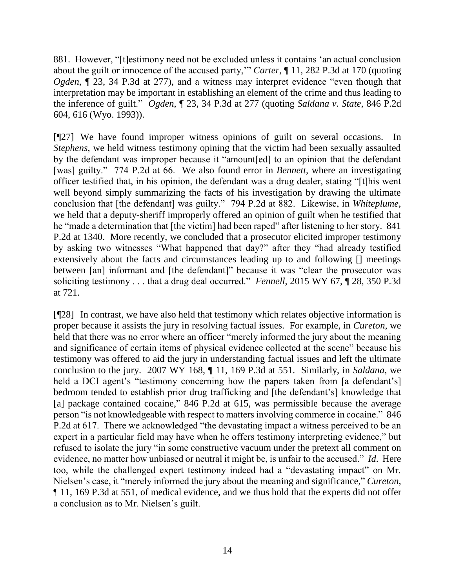881. However, "[t]estimony need not be excluded unless it contains 'an actual conclusion about the guilt or innocence of the accused party,'" *Carter*, ¶ 11, 282 P.3d at 170 (quoting *Ogden*, ¶ 23, 34 P.3d at 277), and a witness may interpret evidence "even though that interpretation may be important in establishing an element of the crime and thus leading to the inference of guilt." *Ogden*, ¶ 23, 34 P.3d at 277 (quoting *Saldana v. State*, 846 P.2d 604, 616 (Wyo. 1993)).

[¶27] We have found improper witness opinions of guilt on several occasions. In *Stephens*, we held witness testimony opining that the victim had been sexually assaulted by the defendant was improper because it "amount[ed] to an opinion that the defendant [was] guilty." 774 P.2d at 66. We also found error in *Bennett*, where an investigating officer testified that, in his opinion, the defendant was a drug dealer, stating "[t]his went well beyond simply summarizing the facts of his investigation by drawing the ultimate conclusion that [the defendant] was guilty." 794 P.2d at 882. Likewise, in *Whiteplume*, we held that a deputy-sheriff improperly offered an opinion of guilt when he testified that he "made a determination that [the victim] had been raped" after listening to her story. 841 P.2d at 1340. More recently, we concluded that a prosecutor elicited improper testimony by asking two witnesses "What happened that day?" after they "had already testified extensively about the facts and circumstances leading up to and following [] meetings between [an] informant and [the defendant]" because it was "clear the prosecutor was soliciting testimony . . . that a drug deal occurred." *Fennell*, 2015 WY 67, ¶ 28, 350 P.3d at 721.

[¶28] In contrast, we have also held that testimony which relates objective information is proper because it assists the jury in resolving factual issues. For example, in *Cureton*, we held that there was no error where an officer "merely informed the jury about the meaning and significance of certain items of physical evidence collected at the scene" because his testimony was offered to aid the jury in understanding factual issues and left the ultimate conclusion to the jury. 2007 WY 168, ¶ 11, 169 P.3d at 551. Similarly, in *Saldana*, we held a DCI agent's "testimony concerning how the papers taken from [a defendant's] bedroom tended to establish prior drug trafficking and [the defendant's] knowledge that [a] package contained cocaine," 846 P.2d at 615, was permissible because the average person "is not knowledgeable with respect to matters involving commerce in cocaine." 846 P.2d at 617. There we acknowledged "the devastating impact a witness perceived to be an expert in a particular field may have when he offers testimony interpreting evidence," but refused to isolate the jury "in some constructive vacuum under the pretext all comment on evidence, no matter how unbiased or neutral it might be, is unfair to the accused." *Id*. Here too, while the challenged expert testimony indeed had a "devastating impact" on Mr. Nielsen's case, it "merely informed the jury about the meaning and significance," *Cureton*, ¶ 11, 169 P.3d at 551, of medical evidence, and we thus hold that the experts did not offer a conclusion as to Mr. Nielsen's guilt.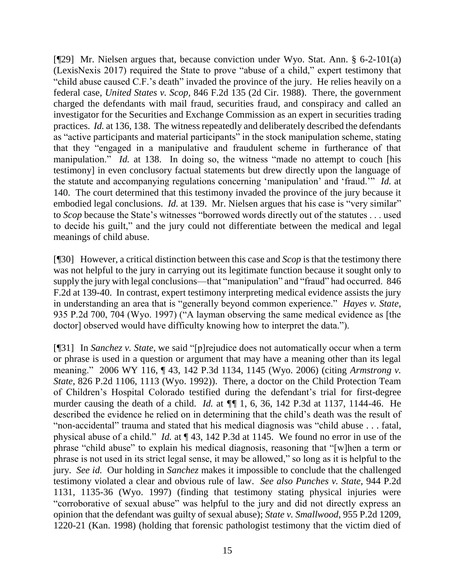[¶29] Mr. Nielsen argues that, because conviction under Wyo. Stat. Ann. § 6-2-101(a) (LexisNexis 2017) required the State to prove "abuse of a child," expert testimony that "child abuse caused C.F.'s death" invaded the province of the jury. He relies heavily on a federal case, *United States v. Scop*, 846 F.2d 135 (2d Cir. 1988). There, the government charged the defendants with mail fraud, securities fraud, and conspiracy and called an investigator for the Securities and Exchange Commission as an expert in securities trading practices. *Id.* at 136, 138. The witness repeatedly and deliberately described the defendants as "active participants and material participants" in the stock manipulation scheme, stating that they "engaged in a manipulative and fraudulent scheme in furtherance of that manipulation." *Id.* at 138. In doing so, the witness "made no attempt to couch [his testimony] in even conclusory factual statements but drew directly upon the language of the statute and accompanying regulations concerning 'manipulation' and 'fraud.'" *Id.* at 140. The court determined that this testimony invaded the province of the jury because it embodied legal conclusions. *Id.* at 139. Mr. Nielsen argues that his case is "very similar" to *Scop* because the State's witnesses "borrowed words directly out of the statutes . . . used to decide his guilt," and the jury could not differentiate between the medical and legal meanings of child abuse.

[¶30] However, a critical distinction between this case and *Scop* is that the testimony there was not helpful to the jury in carrying out its legitimate function because it sought only to supply the jury with legal conclusions—that "manipulation" and "fraud" had occurred. 846 F.2d at 139-40. In contrast, expert testimony interpreting medical evidence assists the jury in understanding an area that is "generally beyond common experience." *Hayes v. State*, 935 P.2d 700, 704 (Wyo. 1997) ("A layman observing the same medical evidence as [the doctor] observed would have difficulty knowing how to interpret the data.").

[¶31] In *Sanchez v. State*, we said "[p]rejudice does not automatically occur when a term or phrase is used in a question or argument that may have a meaning other than its legal meaning." 2006 WY 116, ¶ 43, 142 P.3d 1134, 1145 (Wyo. 2006) (citing *Armstrong v. State*, 826 P.2d 1106, 1113 (Wyo. 1992)). There*,* a doctor on the Child Protection Team of Children's Hospital Colorado testified during the defendant's trial for first-degree murder causing the death of a child. *Id.* at *¶¶* 1, 6, 36, 142 P.3d at 1137, 1144-46. He described the evidence he relied on in determining that the child's death was the result of "non-accidental" trauma and stated that his medical diagnosis was "child abuse . . . fatal, physical abuse of a child." *Id.* at ¶ 43, 142 P.3d at 1145. We found no error in use of the phrase "child abuse" to explain his medical diagnosis, reasoning that "[w]hen a term or phrase is not used in its strict legal sense, it may be allowed," so long as it is helpful to the jury. *See id.* Our holding in *Sanchez* makes it impossible to conclude that the challenged testimony violated a clear and obvious rule of law. *See also Punches v. State*, 944 P.2d 1131, 1135-36 (Wyo. 1997) (finding that testimony stating physical injuries were "corroborative of sexual abuse" was helpful to the jury and did not directly express an opinion that the defendant was guilty of sexual abuse); *State v. Smallwood*, 955 P.2d 1209, 1220-21 (Kan. 1998) (holding that forensic pathologist testimony that the victim died of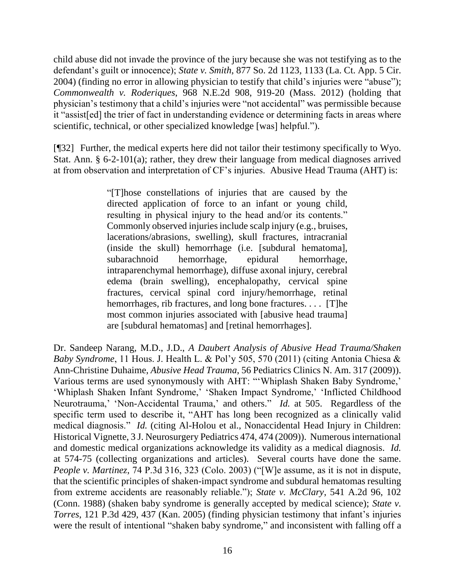child abuse did not invade the province of the jury because she was not testifying as to the defendant's guilt or innocence); *State v. Smith*, 877 So. 2d 1123, 1133 (La. Ct. App. 5 Cir. 2004) (finding no error in allowing physician to testify that child's injuries were "abuse"); *Commonwealth v. Roderiques*, 968 N.E.2d 908, 919-20 (Mass. 2012) (holding that physician's testimony that a child's injuries were "not accidental" was permissible because it "assist[ed] the trier of fact in understanding evidence or determining facts in areas where scientific, technical, or other specialized knowledge [was] helpful.").

[¶32] Further, the medical experts here did not tailor their testimony specifically to Wyo. Stat. Ann. § 6-2-101(a); rather, they drew their language from medical diagnoses arrived at from observation and interpretation of CF's injuries. Abusive Head Trauma (AHT) is:

> "[T]hose constellations of injuries that are caused by the directed application of force to an infant or young child, resulting in physical injury to the head and/or its contents." Commonly observed injuries include scalp injury (e.g., bruises, lacerations/abrasions, swelling), skull fractures, intracranial (inside the skull) hemorrhage (i.e. [subdural hematoma], subarachnoid hemorrhage, epidural hemorrhage, intraparenchymal hemorrhage), diffuse axonal injury, cerebral edema (brain swelling), encephalopathy, cervical spine fractures, cervical spinal cord injury/hemorrhage, retinal hemorrhages, rib fractures, and long bone fractures. . . . [T]he most common injuries associated with [abusive head trauma] are [subdural hematomas] and [retinal hemorrhages].

Dr. Sandeep Narang, M.D., J.D., *A Daubert Analysis of Abusive Head Trauma/Shaken Baby Syndrome*, 11 Hous. J. Health L. & Pol'y 505, 570 (2011) (citing Antonia Chiesa & Ann-Christine Duhaime, *Abusive Head Trauma*, 56 Pediatrics Clinics N. Am. 317 (2009)). Various terms are used synonymously with AHT: "'Whiplash Shaken Baby Syndrome,' 'Whiplash Shaken Infant Syndrome,' 'Shaken Impact Syndrome,' 'Inflicted Childhood Neurotrauma,' 'Non-Accidental Trauma,' and others." *Id.* at 505. Regardless of the specific term used to describe it, "AHT has long been recognized as a clinically valid medical diagnosis." *Id.* (citing Al-Holou et al., Nonaccidental Head Injury in Children: Historical Vignette, 3 J. Neurosurgery Pediatrics 474, 474 (2009)). Numerous international and domestic medical organizations acknowledge its validity as a medical diagnosis. *Id.*  at 574-75 (collecting organizations and articles). Several courts have done the same. *People v. Martinez*, 74 P.3d 316, 323 (Colo. 2003) ("[W]e assume, as it is not in dispute, that the scientific principles of shaken-impact syndrome and subdural hematomas resulting from extreme accidents are reasonably reliable."); *State v. McClary*, 541 A.2d 96, 102 (Conn. 1988) (shaken baby syndrome is generally accepted by medical science); *State v. Torres*, 121 P.3d 429, 437 (Kan. 2005) (finding physician testimony that infant's injuries were the result of intentional "shaken baby syndrome," and inconsistent with falling off a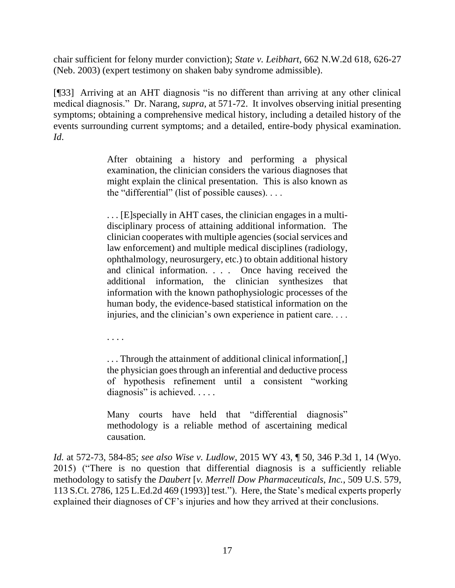chair sufficient for felony murder conviction); *State v. Leibhart*, 662 N.W.2d 618, 626-27 (Neb. 2003) (expert testimony on shaken baby syndrome admissible).

[¶33] Arriving at an AHT diagnosis "is no different than arriving at any other clinical medical diagnosis." Dr. Narang, *supra*, at 571-72. It involves observing initial presenting symptoms; obtaining a comprehensive medical history, including a detailed history of the events surrounding current symptoms; and a detailed, entire-body physical examination. *Id*.

> After obtaining a history and performing a physical examination, the clinician considers the various diagnoses that might explain the clinical presentation. This is also known as the "differential" (list of possible causes). . . .

> . . . [E]specially in AHT cases, the clinician engages in a multidisciplinary process of attaining additional information. The clinician cooperates with multiple agencies (social services and law enforcement) and multiple medical disciplines (radiology, ophthalmology, neurosurgery, etc.) to obtain additional history and clinical information. . . . Once having received the additional information, the clinician synthesizes that information with the known pathophysiologic processes of the human body, the evidence-based statistical information on the injuries, and the clinician's own experience in patient care. . . .

. . . .

... Through the attainment of additional clinical information[,] the physician goes through an inferential and deductive process of hypothesis refinement until a consistent "working diagnosis" is achieved. . . . .

Many courts have held that "differential diagnosis" methodology is a reliable method of ascertaining medical causation.

*Id.* at 572-73, 584-85; *see also Wise v. Ludlow*, 2015 WY 43, ¶ 50, 346 P.3d 1, 14 (Wyo. 2015) ("There is no question that differential diagnosis is a sufficiently reliable methodology to satisfy the *Daubert* [*[v. Merrell Dow Pharmaceuticals, Inc.](https://1.next.westlaw.com/Link/Document/FullText?findType=Y&serNum=1993130674&pubNum=0000708&originatingDoc=If5966e39d28411e4b4bafa136b480ad2&refType=RP&originationContext=document&transitionType=DocumentItem&contextData=(sc.UserEnteredCitation))*, 509 U.S. 579, [113 S.Ct. 2786, 125 L.Ed.2d 469 \(1993\)\]](https://1.next.westlaw.com/Link/Document/FullText?findType=Y&serNum=1993130674&pubNum=0000708&originatingDoc=If5966e39d28411e4b4bafa136b480ad2&refType=RP&originationContext=document&transitionType=DocumentItem&contextData=(sc.UserEnteredCitation)) test."). Here, the State's medical experts properly explained their diagnoses of CF's injuries and how they arrived at their conclusions.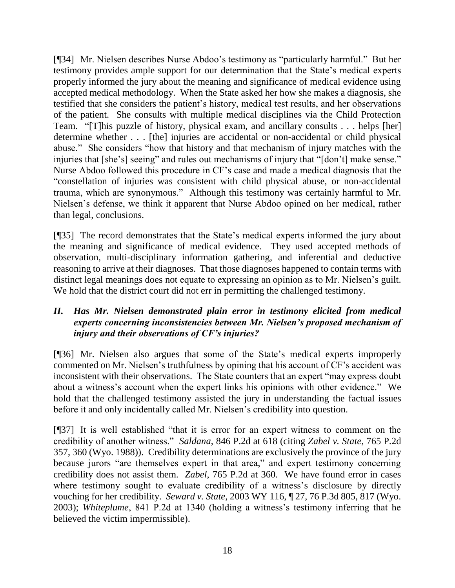[¶34] Mr. Nielsen describes Nurse Abdoo's testimony as "particularly harmful." But her testimony provides ample support for our determination that the State's medical experts properly informed the jury about the meaning and significance of medical evidence using accepted medical methodology. When the State asked her how she makes a diagnosis, she testified that she considers the patient's history, medical test results, and her observations of the patient. She consults with multiple medical disciplines via the Child Protection Team. "[T]his puzzle of history, physical exam, and ancillary consults . . . helps [her] determine whether . . . [the] injuries are accidental or non-accidental or child physical abuse." She considers "how that history and that mechanism of injury matches with the injuries that [she's] seeing" and rules out mechanisms of injury that "[don't] make sense." Nurse Abdoo followed this procedure in CF's case and made a medical diagnosis that the "constellation of injuries was consistent with child physical abuse, or non-accidental trauma, which are synonymous." Although this testimony was certainly harmful to Mr. Nielsen's defense, we think it apparent that Nurse Abdoo opined on her medical, rather than legal, conclusions.

[¶35] The record demonstrates that the State's medical experts informed the jury about the meaning and significance of medical evidence. They used accepted methods of observation, multi-disciplinary information gathering, and inferential and deductive reasoning to arrive at their diagnoses. That those diagnoses happened to contain terms with distinct legal meanings does not equate to expressing an opinion as to Mr. Nielsen's guilt. We hold that the district court did not err in permitting the challenged testimony.

## *II. Has Mr. Nielsen demonstrated plain error in testimony elicited from medical experts concerning inconsistencies between Mr. Nielsen's proposed mechanism of injury and their observations of CF's injuries?*

[¶36] Mr. Nielsen also argues that some of the State's medical experts improperly commented on Mr. Nielsen's truthfulness by opining that his account of CF's accident was inconsistent with their observations. The State counters that an expert "may express doubt about a witness's account when the expert links his opinions with other evidence." We hold that the challenged testimony assisted the jury in understanding the factual issues before it and only incidentally called Mr. Nielsen's credibility into question.

[¶37] It is well established "that it is error for an expert witness to comment on the credibility of another witness." *Saldana*, 846 P.2d at 618 (citing *Zabel v. State*, 765 P.2d 357, 360 (Wyo. 1988)). Credibility determinations are exclusively the province of the jury because jurors "are themselves expert in that area," and expert testimony concerning credibility does not assist them. *Zabel*, 765 P.2d at 360. We have found error in cases where testimony sought to evaluate credibility of a witness's disclosure by directly vouching for her credibility. *Seward v. State*, 2003 WY 116, ¶ 27, 76 P.3d 805, 817 (Wyo. 2003); *Whiteplume*, 841 P.2d at 1340 (holding a witness's testimony inferring that he believed the victim impermissible).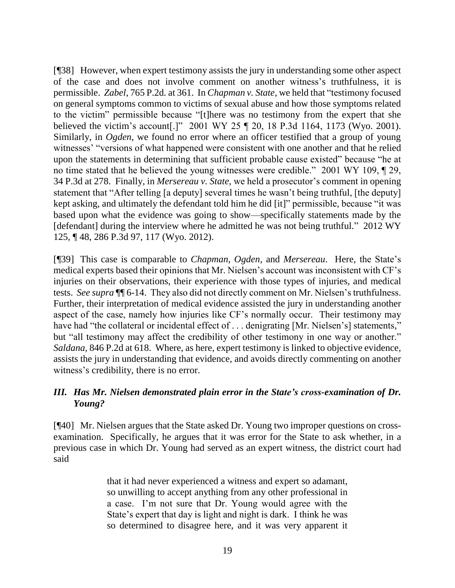[¶38] However, when expert testimony assists the jury in understanding some other aspect of the case and does not involve comment on another witness's truthfulness, it is permissible. *Zabel*, 765 P.2d*.* at 361. In *Chapman v. State*, we held that "testimony focused on general symptoms common to victims of sexual abuse and how those symptoms related to the victim" permissible because "[t]here was no testimony from the expert that she believed the victim's account[.]" 2001 WY 25 ¶ 20, 18 P.3d 1164, 1173 (Wyo. 2001). Similarly, in *Ogden*, we found no error where an officer testified that a group of young witnesses' "versions of what happened were consistent with one another and that he relied upon the statements in determining that sufficient probable cause existed" because "he at no time stated that he believed the young witnesses were credible." 2001 WY 109, ¶ 29, 34 P.3d at 278. Finally, in *Mersereau v. State*, we held a prosecutor's comment in opening statement that "After telling [a deputy] several times he wasn't being truthful, [the deputy] kept asking, and ultimately the defendant told him he did [it]" permissible, because "it was based upon what the evidence was going to show—specifically statements made by the [defendant] during the interview where he admitted he was not being truthful." 2012 WY 125, ¶ 48, 286 P.3d 97, 117 (Wyo. 2012).

[¶39] This case is comparable to *Chapman*, *Ogden*, and *Mersereau*. Here, the State's medical experts based their opinions that Mr. Nielsen's account was inconsistent with CF's injuries on their observations, their experience with those types of injuries, and medical tests. *See supra* ¶¶ 6-14. They also did not directly comment on Mr. Nielsen's truthfulness. Further, their interpretation of medical evidence assisted the jury in understanding another aspect of the case, namely how injuries like CF's normally occur. Their testimony may have had "the collateral or incidental effect of . . . denigrating [Mr. Nielsen's] statements," but "all testimony may affect the credibility of other testimony in one way or another." *Saldana*, 846 P.2d at 618. Where, as here, expert testimony is linked to objective evidence, assists the jury in understanding that evidence, and avoids directly commenting on another witness's credibility, there is no error.

### *III. Has Mr. Nielsen demonstrated plain error in the State's cross-examination of Dr. Young?*

[¶40] Mr. Nielsen argues that the State asked Dr. Young two improper questions on crossexamination. Specifically, he argues that it was error for the State to ask whether, in a previous case in which Dr. Young had served as an expert witness, the district court had said

> that it had never experienced a witness and expert so adamant, so unwilling to accept anything from any other professional in a case. I'm not sure that Dr. Young would agree with the State's expert that day is light and night is dark. I think he was so determined to disagree here, and it was very apparent it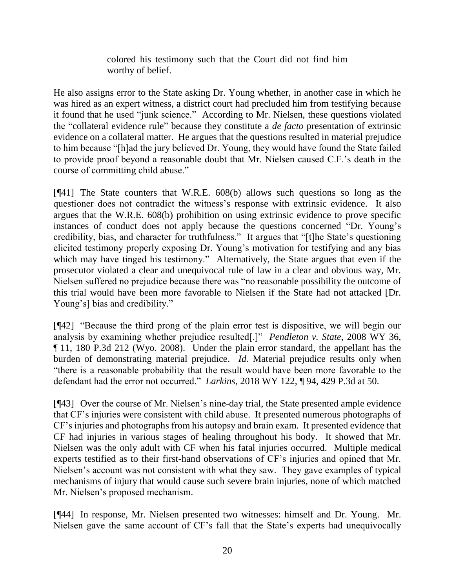colored his testimony such that the Court did not find him worthy of belief.

He also assigns error to the State asking Dr. Young whether, in another case in which he was hired as an expert witness, a district court had precluded him from testifying because it found that he used "junk science." According to Mr. Nielsen, these questions violated the "collateral evidence rule" because they constitute a *de facto* presentation of extrinsic evidence on a collateral matter. He argues that the questions resulted in material prejudice to him because "[h]ad the jury believed Dr. Young, they would have found the State failed to provide proof beyond a reasonable doubt that Mr. Nielsen caused C.F.'s death in the course of committing child abuse."

[¶41] The State counters that W.R.E. 608(b) allows such questions so long as the questioner does not contradict the witness's response with extrinsic evidence. It also argues that the W.R.E. 608(b) prohibition on using extrinsic evidence to prove specific instances of conduct does not apply because the questions concerned "Dr. Young's credibility, bias, and character for truthfulness." It argues that "[t]he State's questioning elicited testimony properly exposing Dr. Young's motivation for testifying and any bias which may have tinged his testimony." Alternatively, the State argues that even if the prosecutor violated a clear and unequivocal rule of law in a clear and obvious way, Mr. Nielsen suffered no prejudice because there was "no reasonable possibility the outcome of this trial would have been more favorable to Nielsen if the State had not attacked [Dr. Young's] bias and credibility."

[¶42] "Because the third prong of the plain error test is dispositive, we will begin our analysis by examining whether prejudice resulted[.]" *Pendleton v. State*, 2008 WY 36, ¶ 11, 180 P.3d 212 (Wyo. 2008). Under the plain error standard, the appellant has the burden of demonstrating material prejudice. *Id.* Material prejudice results only when "there is a reasonable probability that the result would have been more favorable to the defendant had the error not occurred." *Larkins*, 2018 WY 122, ¶ 94, 429 P.3d at 50.

[¶43] Over the course of Mr. Nielsen's nine-day trial, the State presented ample evidence that CF's injuries were consistent with child abuse. It presented numerous photographs of CF's injuries and photographs from his autopsy and brain exam. It presented evidence that CF had injuries in various stages of healing throughout his body. It showed that Mr. Nielsen was the only adult with CF when his fatal injuries occurred. Multiple medical experts testified as to their first-hand observations of CF's injuries and opined that Mr. Nielsen's account was not consistent with what they saw. They gave examples of typical mechanisms of injury that would cause such severe brain injuries, none of which matched Mr. Nielsen's proposed mechanism.

[¶44] In response, Mr. Nielsen presented two witnesses: himself and Dr. Young. Mr. Nielsen gave the same account of CF's fall that the State's experts had unequivocally